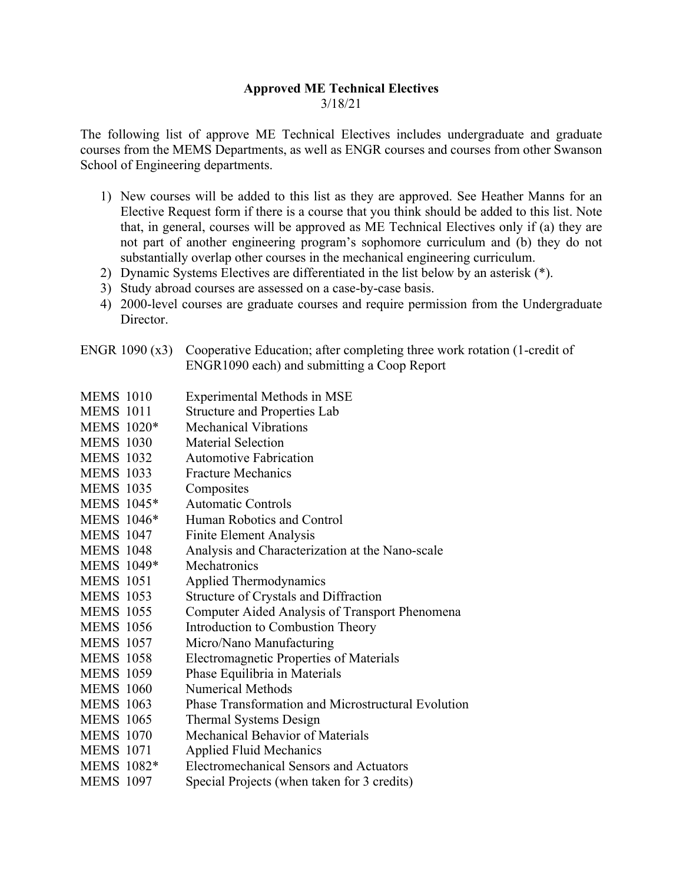## **Approved ME Technical Electives** 3/18/21

The following list of approve ME Technical Electives includes undergraduate and graduate courses from the MEMS Departments, as well as ENGR courses and courses from other Swanson School of Engineering departments.

- 1) New courses will be added to this list as they are approved. See Heather Manns for an Elective Request form if there is a course that you think should be added to this list. Note that, in general, courses will be approved as ME Technical Electives only if (a) they are not part of another engineering program's sophomore curriculum and (b) they do not substantially overlap other courses in the mechanical engineering curriculum.
- 2) Dynamic Systems Electives are differentiated in the list below by an asterisk (\*).
- 3) Study abroad courses are assessed on a case-by-case basis.
- 4) 2000-level courses are graduate courses and require permission from the Undergraduate Director.
- ENGR 1090 (x3) Cooperative Education; after completing three work rotation (1-credit of ENGR1090 each) and submitting a Coop Report
- MEMS 1010 Experimental Methods in MSE
- MEMS 1011 Structure and Properties Lab
- MEMS 1020\* Mechanical Vibrations
- MEMS 1030 Material Selection
- MEMS 1032 Automotive Fabrication
- MEMS 1033 Fracture Mechanics
- MEMS 1035 Composites
- MEMS 1045\* Automatic Controls
- MEMS 1046\* Human Robotics and Control
- MEMS 1047 Finite Element Analysis
- MEMS 1048 Analysis and Characterization at the Nano-scale
- MEMS 1049\* Mechatronics
- MEMS 1051 Applied Thermodynamics
- MEMS 1053 Structure of Crystals and Diffraction
- MEMS 1055 Computer Aided Analysis of Transport Phenomena
- MEMS 1056 Introduction to Combustion Theory
- MEMS 1057 Micro/Nano Manufacturing
- MEMS 1058 Electromagnetic Properties of Materials
- MEMS 1059 Phase Equilibria in Materials
- MEMS 1060 Numerical Methods
- MEMS 1063 Phase Transformation and Microstructural Evolution
- MEMS 1065 Thermal Systems Design
- MEMS 1070 Mechanical Behavior of Materials
- MEMS 1071 Applied Fluid Mechanics
- MEMS 1082\* Electromechanical Sensors and Actuators
- MEMS 1097 Special Projects (when taken for 3 credits)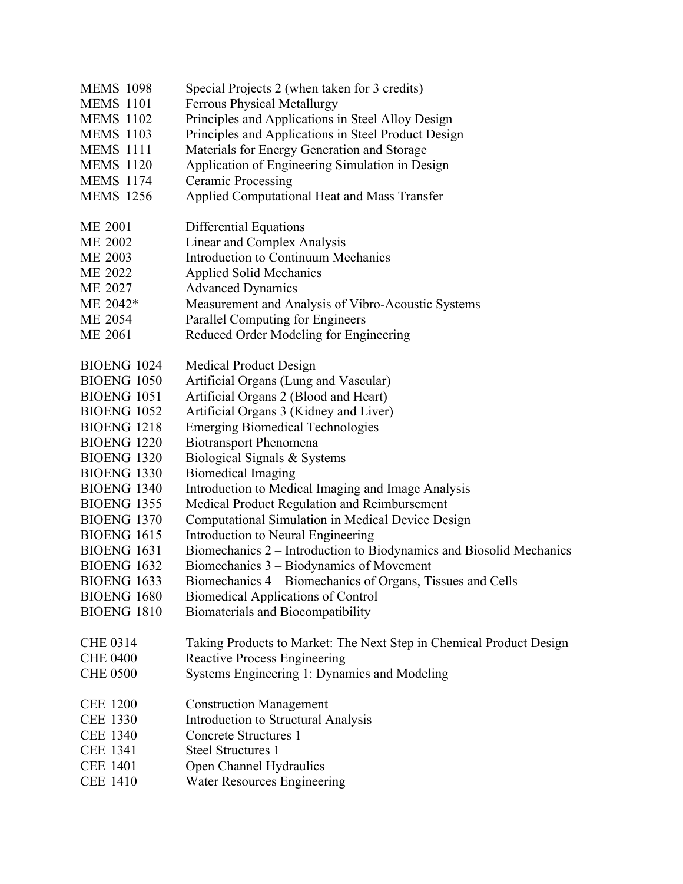| <b>MEMS 1098</b>   | Special Projects 2 (when taken for 3 credits)                       |
|--------------------|---------------------------------------------------------------------|
| <b>MEMS</b> 1101   | <b>Ferrous Physical Metallurgy</b>                                  |
| <b>MEMS 1102</b>   | Principles and Applications in Steel Alloy Design                   |
| <b>MEMS 1103</b>   | Principles and Applications in Steel Product Design                 |
| <b>MEMS 1111</b>   | Materials for Energy Generation and Storage                         |
| <b>MEMS</b> 1120   | Application of Engineering Simulation in Design                     |
| <b>MEMS 1174</b>   | <b>Ceramic Processing</b>                                           |
| <b>MEMS</b> 1256   | Applied Computational Heat and Mass Transfer                        |
| <b>ME 2001</b>     | Differential Equations                                              |
| ME 2002            | Linear and Complex Analysis                                         |
| ME 2003            | <b>Introduction to Continuum Mechanics</b>                          |
| ME 2022            | <b>Applied Solid Mechanics</b>                                      |
| ME 2027            | <b>Advanced Dynamics</b>                                            |
| ME 2042*           | Measurement and Analysis of Vibro-Acoustic Systems                  |
| ME 2054            | Parallel Computing for Engineers                                    |
| ME 2061            | Reduced Order Modeling for Engineering                              |
| <b>BIOENG 1024</b> | Medical Product Design                                              |
| BIOENG 1050        | Artificial Organs (Lung and Vascular)                               |
| <b>BIOENG 1051</b> | Artificial Organs 2 (Blood and Heart)                               |
| <b>BIOENG 1052</b> | Artificial Organs 3 (Kidney and Liver)                              |
| BIOENG 1218        | <b>Emerging Biomedical Technologies</b>                             |
| <b>BIOENG 1220</b> | <b>Biotransport Phenomena</b>                                       |
| <b>BIOENG 1320</b> | Biological Signals & Systems                                        |
| BIOENG 1330        | <b>Biomedical Imaging</b>                                           |
| BIOENG 1340        | Introduction to Medical Imaging and Image Analysis                  |
| <b>BIOENG 1355</b> | Medical Product Regulation and Reimbursement                        |
| <b>BIOENG 1370</b> | Computational Simulation in Medical Device Design                   |
| <b>BIOENG 1615</b> | Introduction to Neural Engineering                                  |
| <b>BIOENG 1631</b> | Biomechanics 2 – Introduction to Biodynamics and Biosolid Mechanics |
| <b>BIOENG 1632</b> | Biomechanics $3 -$ Biodynamics of Movement                          |
| BIOENG 1633        | Biomechanics 4 - Biomechanics of Organs, Tissues and Cells          |
| <b>BIOENG 1680</b> | <b>Biomedical Applications of Control</b>                           |
| <b>BIOENG 1810</b> | <b>Biomaterials and Biocompatibility</b>                            |
| <b>CHE 0314</b>    | Taking Products to Market: The Next Step in Chemical Product Design |
| <b>CHE 0400</b>    | <b>Reactive Process Engineering</b>                                 |
| <b>CHE 0500</b>    | Systems Engineering 1: Dynamics and Modeling                        |
| <b>CEE 1200</b>    | <b>Construction Management</b>                                      |
| <b>CEE 1330</b>    | Introduction to Structural Analysis                                 |
| <b>CEE 1340</b>    | Concrete Structures 1                                               |
| <b>CEE 1341</b>    | <b>Steel Structures 1</b>                                           |
| <b>CEE 1401</b>    | Open Channel Hydraulics                                             |
| <b>CEE 1410</b>    | Water Resources Engineering                                         |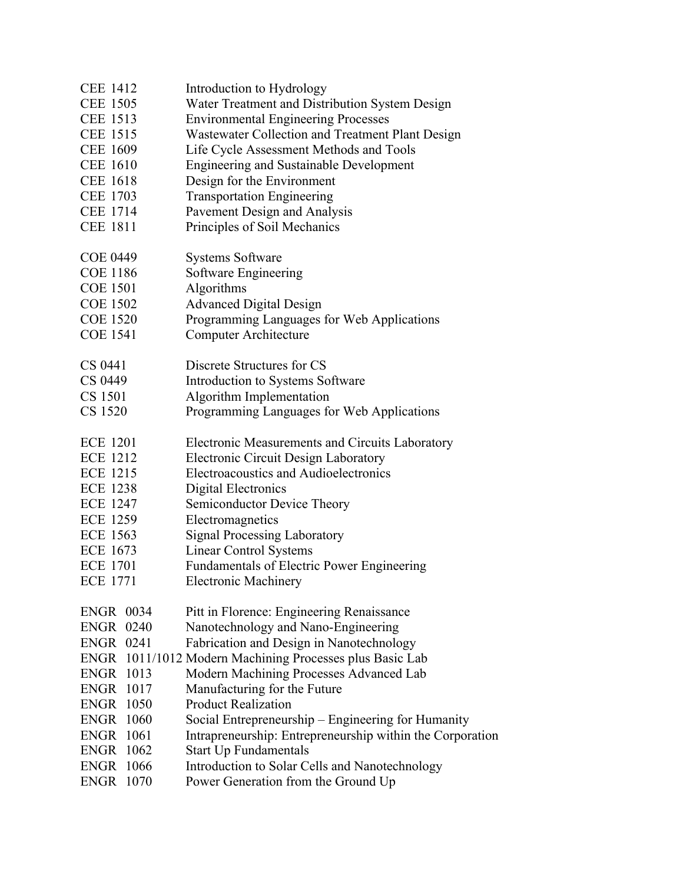| <b>CEE 1412</b>  |      | Introduction to Hydrology                                 |
|------------------|------|-----------------------------------------------------------|
| <b>CEE 1505</b>  |      | Water Treatment and Distribution System Design            |
| CEE 1513         |      | <b>Environmental Engineering Processes</b>                |
| <b>CEE 1515</b>  |      | Wastewater Collection and Treatment Plant Design          |
| <b>CEE 1609</b>  |      | Life Cycle Assessment Methods and Tools                   |
| <b>CEE 1610</b>  |      | <b>Engineering and Sustainable Development</b>            |
| <b>CEE 1618</b>  |      | Design for the Environment                                |
| <b>CEE 1703</b>  |      | <b>Transportation Engineering</b>                         |
| <b>CEE 1714</b>  |      | Pavement Design and Analysis                              |
| <b>CEE 1811</b>  |      | Principles of Soil Mechanics                              |
| <b>COE 0449</b>  |      | <b>Systems Software</b>                                   |
| <b>COE 1186</b>  |      | Software Engineering                                      |
| <b>COE 1501</b>  |      | Algorithms                                                |
| <b>COE 1502</b>  |      | <b>Advanced Digital Design</b>                            |
| <b>COE 1520</b>  |      | Programming Languages for Web Applications                |
| <b>COE 1541</b>  |      | <b>Computer Architecture</b>                              |
| CS 0441          |      | Discrete Structures for CS                                |
| CS 0449          |      | Introduction to Systems Software                          |
| CS 1501          |      | Algorithm Implementation                                  |
| CS 1520          |      | Programming Languages for Web Applications                |
| <b>ECE 1201</b>  |      | Electronic Measurements and Circuits Laboratory           |
| <b>ECE 1212</b>  |      | <b>Electronic Circuit Design Laboratory</b>               |
| <b>ECE 1215</b>  |      | Electroacoustics and Audioelectronics                     |
| <b>ECE 1238</b>  |      | Digital Electronics                                       |
| <b>ECE 1247</b>  |      | Semiconductor Device Theory                               |
| <b>ECE 1259</b>  |      | Electromagnetics                                          |
| <b>ECE 1563</b>  |      | <b>Signal Processing Laboratory</b>                       |
| <b>ECE 1673</b>  |      | <b>Linear Control Systems</b>                             |
| <b>ECE 1701</b>  |      | <b>Fundamentals of Electric Power Engineering</b>         |
| <b>ECE 1771</b>  |      | <b>Electronic Machinery</b>                               |
| <b>ENGR 0034</b> |      | Pitt in Florence: Engineering Renaissance                 |
| <b>ENGR 0240</b> |      | Nanotechnology and Nano-Engineering                       |
| <b>ENGR 0241</b> |      | Fabrication and Design in Nanotechnology                  |
|                  |      | ENGR 1011/1012 Modern Machining Processes plus Basic Lab  |
| <b>ENGR 1013</b> |      | Modern Machining Processes Advanced Lab                   |
| ENGR             | 1017 | Manufacturing for the Future                              |
| <b>ENGR 1050</b> |      | <b>Product Realization</b>                                |
| <b>ENGR 1060</b> |      | Social Entrepreneurship – Engineering for Humanity        |
| <b>ENGR</b>      | 1061 | Intrapreneurship: Entrepreneurship within the Corporation |
| <b>ENGR</b>      | 1062 | <b>Start Up Fundamentals</b>                              |
| <b>ENGR 1066</b> |      | Introduction to Solar Cells and Nanotechnology            |
| <b>ENGR</b>      | 1070 | Power Generation from the Ground Up                       |
|                  |      |                                                           |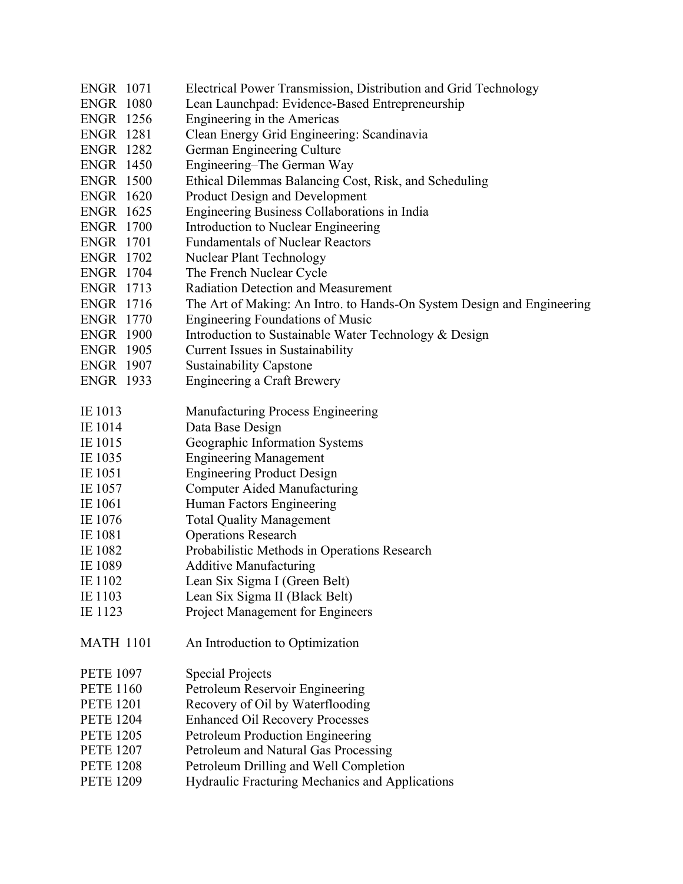| <b>ENGR 1071</b><br><b>ENGR 1080</b><br><b>ENGR 1256</b><br><b>ENGR 1281</b><br><b>ENGR 1282</b><br><b>ENGR 1450</b> | Electrical Power Transmission, Distribution and Grid Technology<br>Lean Launchpad: Evidence-Based Entrepreneurship<br>Engineering in the Americas<br>Clean Energy Grid Engineering: Scandinavia<br>German Engineering Culture<br>Engineering–The German Way |
|----------------------------------------------------------------------------------------------------------------------|-------------------------------------------------------------------------------------------------------------------------------------------------------------------------------------------------------------------------------------------------------------|
| <b>ENGR 1500</b>                                                                                                     | Ethical Dilemmas Balancing Cost, Risk, and Scheduling                                                                                                                                                                                                       |
| <b>ENGR 1620</b>                                                                                                     | <b>Product Design and Development</b>                                                                                                                                                                                                                       |
| <b>ENGR 1625</b>                                                                                                     | Engineering Business Collaborations in India                                                                                                                                                                                                                |
| <b>ENGR 1700</b>                                                                                                     | Introduction to Nuclear Engineering                                                                                                                                                                                                                         |
| <b>ENGR 1701</b>                                                                                                     | <b>Fundamentals of Nuclear Reactors</b>                                                                                                                                                                                                                     |
| <b>ENGR 1702</b>                                                                                                     | <b>Nuclear Plant Technology</b>                                                                                                                                                                                                                             |
| <b>ENGR 1704</b>                                                                                                     | The French Nuclear Cycle                                                                                                                                                                                                                                    |
| <b>ENGR 1713</b>                                                                                                     | <b>Radiation Detection and Measurement</b>                                                                                                                                                                                                                  |
| <b>ENGR 1716</b>                                                                                                     | The Art of Making: An Intro. to Hands-On System Design and Engineering                                                                                                                                                                                      |
| <b>ENGR 1770</b><br><b>ENGR 1900</b>                                                                                 | <b>Engineering Foundations of Music</b>                                                                                                                                                                                                                     |
| <b>ENGR 1905</b>                                                                                                     | Introduction to Sustainable Water Technology & Design<br>Current Issues in Sustainability                                                                                                                                                                   |
| <b>ENGR 1907</b>                                                                                                     | <b>Sustainability Capstone</b>                                                                                                                                                                                                                              |
| <b>ENGR 1933</b>                                                                                                     | <b>Engineering a Craft Brewery</b>                                                                                                                                                                                                                          |
|                                                                                                                      |                                                                                                                                                                                                                                                             |
| IE 1013                                                                                                              | <b>Manufacturing Process Engineering</b>                                                                                                                                                                                                                    |
| IE 1014                                                                                                              | Data Base Design                                                                                                                                                                                                                                            |
| IE 1015                                                                                                              | Geographic Information Systems                                                                                                                                                                                                                              |
| IE 1035                                                                                                              | <b>Engineering Management</b>                                                                                                                                                                                                                               |
| IE 1051                                                                                                              | <b>Engineering Product Design</b>                                                                                                                                                                                                                           |
| IE 1057                                                                                                              | <b>Computer Aided Manufacturing</b>                                                                                                                                                                                                                         |
| IE 1061                                                                                                              | Human Factors Engineering                                                                                                                                                                                                                                   |
| IE 1076                                                                                                              | <b>Total Quality Management</b>                                                                                                                                                                                                                             |
| IE 1081                                                                                                              | <b>Operations Research</b>                                                                                                                                                                                                                                  |
| IE 1082                                                                                                              | Probabilistic Methods in Operations Research                                                                                                                                                                                                                |
| IE 1089                                                                                                              | <b>Additive Manufacturing</b>                                                                                                                                                                                                                               |
| IE 1102<br>IE 1103                                                                                                   | Lean Six Sigma I (Green Belt)<br>Lean Six Sigma II (Black Belt)                                                                                                                                                                                             |
| IE 1123                                                                                                              | Project Management for Engineers                                                                                                                                                                                                                            |
|                                                                                                                      |                                                                                                                                                                                                                                                             |
| <b>MATH 1101</b>                                                                                                     | An Introduction to Optimization                                                                                                                                                                                                                             |
| <b>PETE 1097</b>                                                                                                     | <b>Special Projects</b>                                                                                                                                                                                                                                     |
| <b>PETE 1160</b>                                                                                                     | Petroleum Reservoir Engineering                                                                                                                                                                                                                             |
| <b>PETE 1201</b>                                                                                                     | Recovery of Oil by Waterflooding                                                                                                                                                                                                                            |
| <b>PETE 1204</b>                                                                                                     | <b>Enhanced Oil Recovery Processes</b>                                                                                                                                                                                                                      |
| <b>PETE 1205</b>                                                                                                     | Petroleum Production Engineering                                                                                                                                                                                                                            |
| <b>PETE 1207</b>                                                                                                     | Petroleum and Natural Gas Processing                                                                                                                                                                                                                        |
| <b>PETE 1208</b>                                                                                                     | Petroleum Drilling and Well Completion                                                                                                                                                                                                                      |
| <b>PETE 1209</b>                                                                                                     | Hydraulic Fracturing Mechanics and Applications                                                                                                                                                                                                             |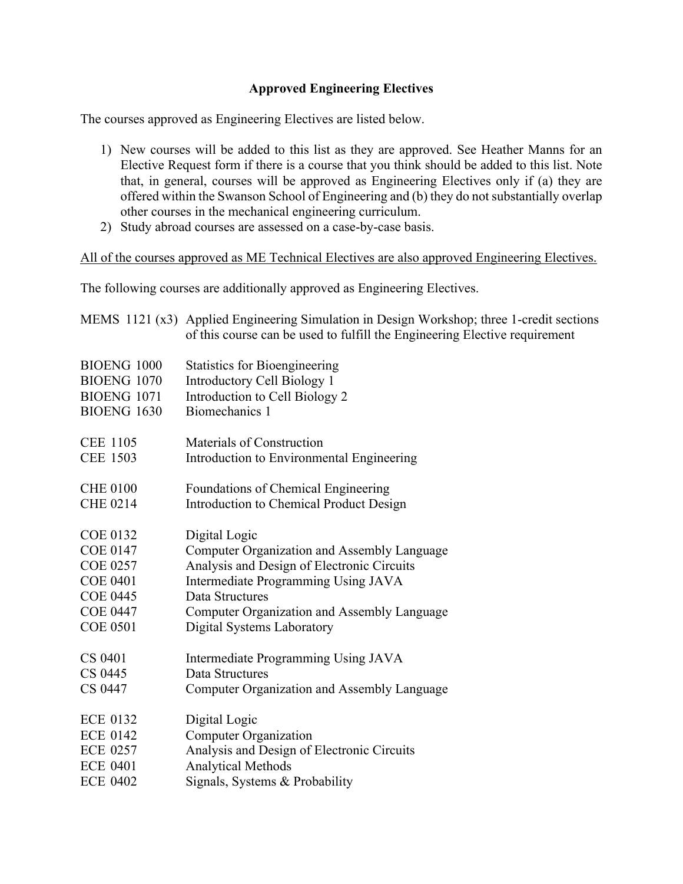## **Approved Engineering Electives**

The courses approved as Engineering Electives are listed below.

- 1) New courses will be added to this list as they are approved. See Heather Manns for an Elective Request form if there is a course that you think should be added to this list. Note that, in general, courses will be approved as Engineering Electives only if (a) they are offered within the Swanson School of Engineering and (b) they do not substantially overlap other courses in the mechanical engineering curriculum.
- 2) Study abroad courses are assessed on a case-by-case basis.

All of the courses approved as ME Technical Electives are also approved Engineering Electives.

The following courses are additionally approved as Engineering Electives.

|                    | MEMS 1121 (x3) Applied Engineering Simulation in Design Workshop; three 1-credit sections<br>of this course can be used to fulfill the Engineering Elective requirement |
|--------------------|-------------------------------------------------------------------------------------------------------------------------------------------------------------------------|
| <b>BIOENG 1000</b> | <b>Statistics for Bioengineering</b>                                                                                                                                    |
| <b>BIOENG 1070</b> | Introductory Cell Biology 1                                                                                                                                             |
| <b>BIOENG 1071</b> | Introduction to Cell Biology 2                                                                                                                                          |
| <b>BIOENG 1630</b> | Biomechanics 1                                                                                                                                                          |
| <b>CEE 1105</b>    | Materials of Construction                                                                                                                                               |
| <b>CEE 1503</b>    | Introduction to Environmental Engineering                                                                                                                               |
| <b>CHE 0100</b>    | Foundations of Chemical Engineering                                                                                                                                     |
| <b>CHE 0214</b>    | Introduction to Chemical Product Design                                                                                                                                 |
| <b>COE 0132</b>    | Digital Logic                                                                                                                                                           |
| <b>COE 0147</b>    | Computer Organization and Assembly Language                                                                                                                             |
| <b>COE 0257</b>    | Analysis and Design of Electronic Circuits                                                                                                                              |
| <b>COE 0401</b>    | Intermediate Programming Using JAVA                                                                                                                                     |
| <b>COE 0445</b>    | Data Structures                                                                                                                                                         |
| <b>COE 0447</b>    | Computer Organization and Assembly Language                                                                                                                             |
| <b>COE 0501</b>    | Digital Systems Laboratory                                                                                                                                              |
| CS 0401            | Intermediate Programming Using JAVA                                                                                                                                     |
| CS 0445            | Data Structures                                                                                                                                                         |
| CS 0447            | Computer Organization and Assembly Language                                                                                                                             |
| <b>ECE 0132</b>    | Digital Logic                                                                                                                                                           |
| <b>ECE 0142</b>    | <b>Computer Organization</b>                                                                                                                                            |
| <b>ECE 0257</b>    | Analysis and Design of Electronic Circuits                                                                                                                              |
| <b>ECE 0401</b>    | <b>Analytical Methods</b>                                                                                                                                               |
| <b>ECE 0402</b>    | Signals, Systems & Probability                                                                                                                                          |